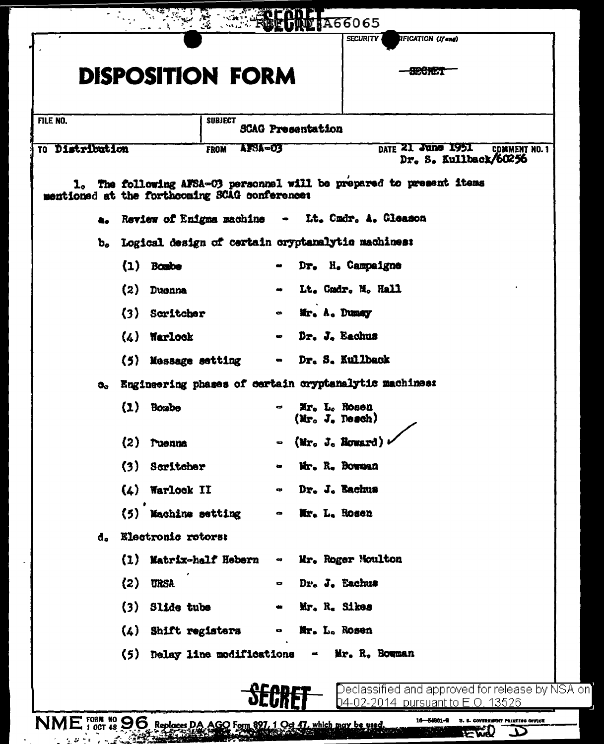|                 |    |                                                                                     | <b>DISPOSITION FORM</b>                       |                                                    |  |                              |  |  |                                                                      |  |
|-----------------|----|-------------------------------------------------------------------------------------|-----------------------------------------------|----------------------------------------------------|--|------------------------------|--|--|----------------------------------------------------------------------|--|
| FILE NO.        |    |                                                                                     |                                               | <b>SUBJECT</b>                                     |  |                              |  |  |                                                                      |  |
| TO Distribution |    |                                                                                     |                                               | <b>SCAG Presentation</b><br>AFSA=03<br><b>FROM</b> |  |                              |  |  | DATE 21 June 1951<br><b>COMMENT NO. 1</b><br>Dr. S. Kullback/60256   |  |
|                 |    |                                                                                     | mentioned at the forthcoming SCAG conference: |                                                    |  |                              |  |  | 1. The following AFSA-03 personnel will be prepared to present items |  |
|                 |    |                                                                                     |                                               |                                                    |  | $\bullet$                    |  |  | Lt. Cmdr. A. Gleason                                                 |  |
|                 |    | a. Review of Enigma machine<br>b. Logical design of certain oryptanalytic machines: |                                               |                                                    |  |                              |  |  |                                                                      |  |
|                 |    | $\{1\}$                                                                             | Bombe                                         |                                                    |  |                              |  |  | Dr. H. Campaigne                                                     |  |
|                 |    | (2)                                                                                 | Duenna                                        |                                                    |  |                              |  |  | Lt. Cmdr. M. Hall                                                    |  |
|                 |    |                                                                                     | (3) Scritcher                                 |                                                    |  | $\bullet$                    |  |  | Mr. A. Dumay                                                         |  |
|                 |    |                                                                                     | $(4)$ Warlock                                 |                                                    |  | $\bullet$                    |  |  | Dr. J. Eachus                                                        |  |
|                 |    |                                                                                     | (5) Message setting                           |                                                    |  | $\bullet$                    |  |  | Dr. S. Kullback                                                      |  |
|                 | o. |                                                                                     |                                               |                                                    |  |                              |  |  | Engineering phases of certain cryptanalytic machines:                |  |
|                 |    |                                                                                     | $(1)$ Bombe                                   |                                                    |  |                              |  |  | Mr. L. Rosen<br>$(Mr_o, J_s,$ Desch)                                 |  |
|                 |    |                                                                                     | $(2)$ ruenna                                  |                                                    |  |                              |  |  | $-$ (Mr. J. Howard)                                                  |  |
|                 |    |                                                                                     | (3) Scritcher                                 |                                                    |  |                              |  |  | Mr. R. Bowman                                                        |  |
|                 |    |                                                                                     | $(4)$ Warlock II                              |                                                    |  | $\bullet$                    |  |  | Dr. J. Bachus                                                        |  |
|                 |    |                                                                                     | (5) Machine setting                           |                                                    |  | $\bullet$                    |  |  | Mr. L. Rosen                                                         |  |
|                 | đ. |                                                                                     | Electronic rotors:                            |                                                    |  |                              |  |  |                                                                      |  |
|                 |    |                                                                                     | (1) Matrix-half Hebern                        |                                                    |  | $\bullet$                    |  |  | Mr. Roger Moulton                                                    |  |
|                 |    | (2)                                                                                 | <b>URSA</b>                                   |                                                    |  |                              |  |  | Dr. J. Eachus                                                        |  |
|                 |    |                                                                                     | $(3)$ Slide tube                              |                                                    |  |                              |  |  | Mr. R. Sikes                                                         |  |
|                 |    |                                                                                     | (4) Shift registers                           |                                                    |  | $\qquad \qquad \blacksquare$ |  |  | Mr. L. Rosen                                                         |  |
|                 |    |                                                                                     | (5) Delay line modifications                  |                                                    |  |                              |  |  | - Mr. R. Bowman                                                      |  |
|                 |    |                                                                                     |                                               |                                                    |  |                              |  |  | Declassified and approved for release by NSA on                      |  |
|                 |    |                                                                                     |                                               |                                                    |  |                              |  |  | 04-02- <u>2014 pursuant to E.O. 13526</u>                            |  |

 $\mathcal{A}$